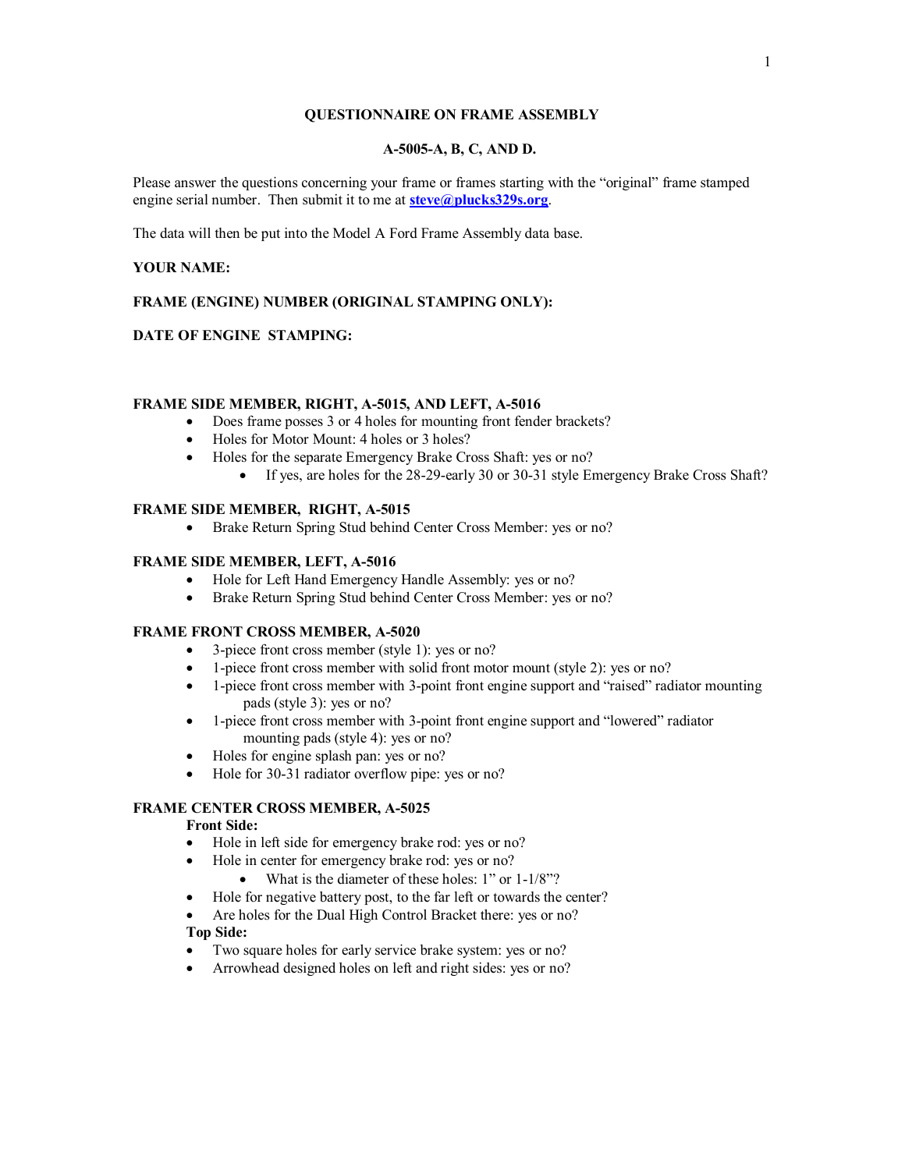## **QUESTIONNAIRE ON FRAME ASSEMBLY**

## **A-5005-A, B, C, AND D.**

Please answer the questions concerning your frame or frames starting with the "original" frame stamped engine serial number. Then submit it to me at **[steve@plucks329s.org](mailto:steve@plucks329s.org)**.

The data will then be put into the Model A Ford Frame Assembly data base.

# **YOUR NAME:**

## **FRAME (ENGINE) NUMBER (ORIGINAL STAMPING ONLY):**

# **DATE OF ENGINE STAMPING:**

### **FRAME SIDE MEMBER, RIGHT, A-5015, AND LEFT, A-5016**

- · Does frame posses 3 or 4 holes for mounting front fender brackets?
- · Holes for Motor Mount: 4 holes or 3 holes?
- · Holes for the separate Emergency Brake Cross Shaft: yes or no?
	- · If yes, are holes for the 28-29-early 30 or 30-31 style Emergency Brake Cross Shaft?

# **FRAME SIDE MEMBER, RIGHT, A-5015**

· Brake Return Spring Stud behind Center Cross Member: yes or no?

# **FRAME SIDE MEMBER, LEFT, A-5016**

- · Hole for Left Hand Emergency Handle Assembly: yes or no?
- · Brake Return Spring Stud behind Center Cross Member: yes or no?

## **FRAME FRONT CROSS MEMBER, A-5020**

- · 3-piece front cross member (style 1): yes or no?
- 1-piece front cross member with solid front motor mount (style 2): yes or no?
- 1-piece front cross member with 3-point front engine support and "raised" radiator mounting pads (style 3): yes or no?
- · 1-piece front cross member with 3-point front engine support and "lowered" radiator mounting pads (style 4): yes or no?
- Holes for engine splash pan: yes or no?
- · Hole for 30-31 radiator overflow pipe: yes or no?

# **FRAME CENTER CROSS MEMBER, A-5025**

## **Front Side:**

- Hole in left side for emergency brake rod: yes or no?
- Hole in center for emergency brake rod: yes or no?
	- What is the diameter of these holes: 1" or 1-1/8"?
- Hole for negative battery post, to the far left or towards the center?
- · Are holes for the Dual High Control Bracket there: yes or no?

# **Top Side:**

- · Two square holes for early service brake system: yes or no?
- · Arrowhead designed holes on left and right sides: yes or no?